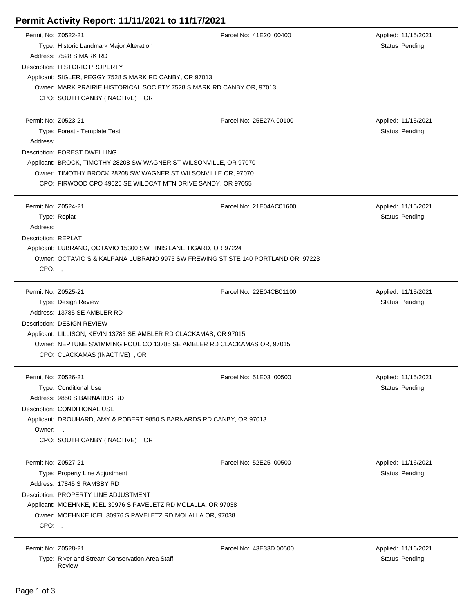## **Permit Activity Report: 11/11/2021 to 11/17/2021**

| Permit No: Z0522-21 |                                                                                                         | Parcel No: 41E20 00400  | Applied: 11/15/2021   |  |  |
|---------------------|---------------------------------------------------------------------------------------------------------|-------------------------|-----------------------|--|--|
|                     | Type: Historic Landmark Major Alteration                                                                |                         | Status Pending        |  |  |
|                     | Address: 7528 S MARK RD                                                                                 |                         |                       |  |  |
|                     | Description: HISTORIC PROPERTY                                                                          |                         |                       |  |  |
|                     | Applicant: SIGLER, PEGGY 7528 S MARK RD CANBY, OR 97013                                                 |                         |                       |  |  |
|                     | Owner: MARK PRAIRIE HISTORICAL SOCIETY 7528 S MARK RD CANBY OR, 97013                                   |                         |                       |  |  |
|                     | CPO: SOUTH CANBY (INACTIVE), OR                                                                         |                         |                       |  |  |
|                     |                                                                                                         |                         |                       |  |  |
| Permit No: Z0523-21 |                                                                                                         | Parcel No: 25E27A 00100 | Applied: 11/15/2021   |  |  |
|                     | Type: Forest - Template Test                                                                            |                         | Status Pending        |  |  |
| Address:            |                                                                                                         |                         |                       |  |  |
|                     | Description: FOREST DWELLING                                                                            |                         |                       |  |  |
|                     | Applicant: BROCK, TIMOTHY 28208 SW WAGNER ST WILSONVILLE, OR 97070                                      |                         |                       |  |  |
|                     | Owner: TIMOTHY BROCK 28208 SW WAGNER ST WILSONVILLE OR, 97070                                           |                         |                       |  |  |
|                     | CPO: FIRWOOD CPO 49025 SE WILDCAT MTN DRIVE SANDY, OR 97055                                             |                         |                       |  |  |
|                     |                                                                                                         |                         |                       |  |  |
| Permit No: Z0524-21 |                                                                                                         | Parcel No: 21E04AC01600 | Applied: 11/15/2021   |  |  |
|                     | Type: Replat                                                                                            |                         | Status Pending        |  |  |
| Address:            |                                                                                                         |                         |                       |  |  |
| Description: REPLAT |                                                                                                         |                         |                       |  |  |
|                     | Applicant: LUBRANO, OCTAVIO 15300 SW FINIS LANE TIGARD, OR 97224                                        |                         |                       |  |  |
|                     | Owner: OCTAVIO S & KALPANA LUBRANO 9975 SW FREWING ST STE 140 PORTLAND OR, 97223                        |                         |                       |  |  |
| CPO:                |                                                                                                         |                         |                       |  |  |
|                     |                                                                                                         |                         |                       |  |  |
| Permit No: Z0525-21 |                                                                                                         | Parcel No: 22E04CB01100 | Applied: 11/15/2021   |  |  |
|                     | Type: Design Review                                                                                     |                         | Status Pending        |  |  |
|                     | Address: 13785 SE AMBLER RD                                                                             |                         |                       |  |  |
|                     | Description: DESIGN REVIEW                                                                              |                         |                       |  |  |
|                     | Applicant: LILLISON, KEVIN 13785 SE AMBLER RD CLACKAMAS, OR 97015                                       |                         |                       |  |  |
|                     | Owner: NEPTUNE SWIMMING POOL CO 13785 SE AMBLER RD CLACKAMAS OR, 97015                                  |                         |                       |  |  |
|                     | CPO: CLACKAMAS (INACTIVE), OR                                                                           |                         |                       |  |  |
|                     |                                                                                                         |                         |                       |  |  |
| Permit No: Z0526-21 |                                                                                                         | Parcel No: 51E03 00500  | Applied: 11/15/2021   |  |  |
|                     | Type: Conditional Use                                                                                   |                         | Status Pending        |  |  |
|                     | Address: 9850 S BARNARDS RD                                                                             |                         |                       |  |  |
|                     | Description: CONDITIONAL USE                                                                            |                         |                       |  |  |
|                     | Applicant: DROUHARD, AMY & ROBERT 9850 S BARNARDS RD CANBY, OR 97013                                    |                         |                       |  |  |
| Owner:,             |                                                                                                         |                         |                       |  |  |
|                     | CPO: SOUTH CANBY (INACTIVE), OR                                                                         |                         |                       |  |  |
| Permit No: Z0527-21 |                                                                                                         | Parcel No: 52E25 00500  | Applied: 11/16/2021   |  |  |
|                     | Type: Property Line Adjustment                                                                          |                         | <b>Status Pending</b> |  |  |
|                     | Address: 17845 S RAMSBY RD                                                                              |                         |                       |  |  |
|                     |                                                                                                         |                         |                       |  |  |
|                     | Description: PROPERTY LINE ADJUSTMENT<br>Applicant: MOEHNKE, ICEL 30976 S PAVELETZ RD MOLALLA, OR 97038 |                         |                       |  |  |
|                     |                                                                                                         |                         |                       |  |  |
|                     | Owner: MOEHNKE ICEL 30976 S PAVELETZ RD MOLALLA OR, 97038                                               |                         |                       |  |  |
| CPO:,               |                                                                                                         |                         |                       |  |  |
| Permit No: Z0528-21 |                                                                                                         | Parcel No: 43E33D 00500 | Applied: 11/16/2021   |  |  |
|                     | Type: River and Stream Conservation Area Staff                                                          |                         | <b>Status Pending</b> |  |  |
|                     |                                                                                                         |                         |                       |  |  |